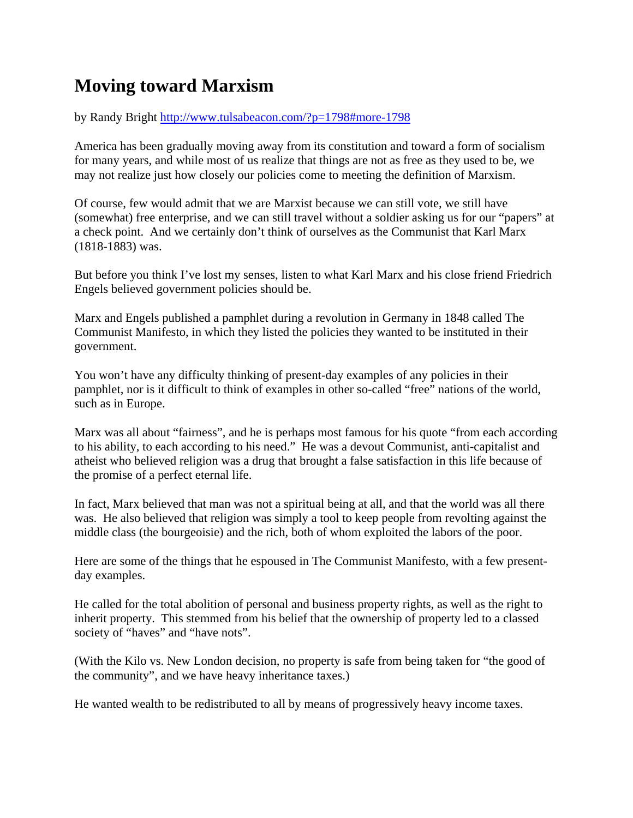## **Moving toward Marxism**

by Randy Bright http://www.tulsabeacon.com/?p=1798#more-1798

America has been gradually moving away from its constitution and toward a form of socialism for many years, and while most of us realize that things are not as free as they used to be, we may not realize just how closely our policies come to meeting the definition of Marxism.

Of course, few would admit that we are Marxist because we can still vote, we still have (somewhat) free enterprise, and we can still travel without a soldier asking us for our "papers" at a check point. And we certainly don't think of ourselves as the Communist that Karl Marx (1818-1883) was.

But before you think I've lost my senses, listen to what Karl Marx and his close friend Friedrich Engels believed government policies should be.

Marx and Engels published a pamphlet during a revolution in Germany in 1848 called The Communist Manifesto, in which they listed the policies they wanted to be instituted in their government.

You won't have any difficulty thinking of present-day examples of any policies in their pamphlet, nor is it difficult to think of examples in other so-called "free" nations of the world, such as in Europe.

Marx was all about "fairness", and he is perhaps most famous for his quote "from each according to his ability, to each according to his need." He was a devout Communist, anti-capitalist and atheist who believed religion was a drug that brought a false satisfaction in this life because of the promise of a perfect eternal life.

In fact, Marx believed that man was not a spiritual being at all, and that the world was all there was. He also believed that religion was simply a tool to keep people from revolting against the middle class (the bourgeoisie) and the rich, both of whom exploited the labors of the poor.

Here are some of the things that he espoused in The Communist Manifesto, with a few presentday examples.

He called for the total abolition of personal and business property rights, as well as the right to inherit property. This stemmed from his belief that the ownership of property led to a classed society of "haves" and "have nots".

(With the Kilo vs. New London decision, no property is safe from being taken for "the good of the community", and we have heavy inheritance taxes.)

He wanted wealth to be redistributed to all by means of progressively heavy income taxes.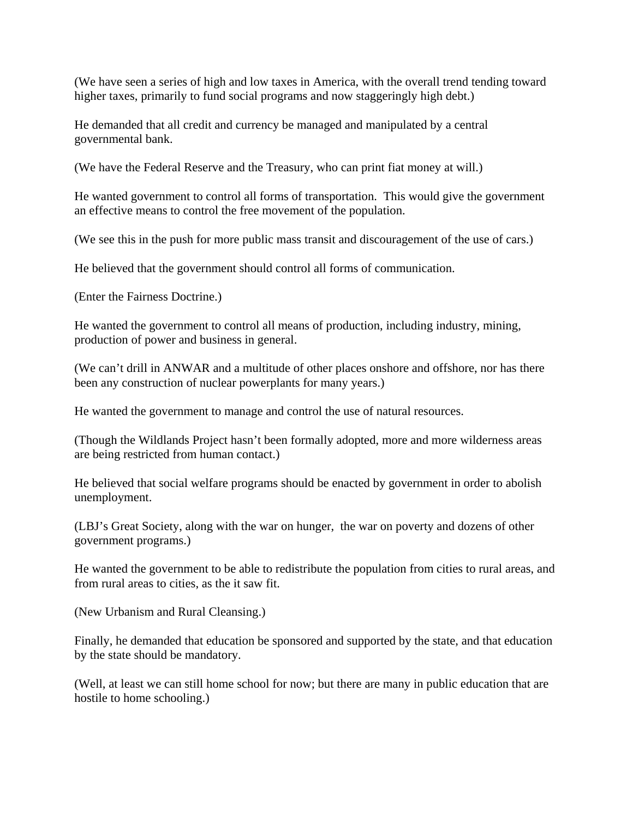(We have seen a series of high and low taxes in America, with the overall trend tending toward higher taxes, primarily to fund social programs and now staggeringly high debt.)

He demanded that all credit and currency be managed and manipulated by a central governmental bank.

(We have the Federal Reserve and the Treasury, who can print fiat money at will.)

He wanted government to control all forms of transportation. This would give the government an effective means to control the free movement of the population.

(We see this in the push for more public mass transit and discouragement of the use of cars.)

He believed that the government should control all forms of communication.

(Enter the Fairness Doctrine.)

He wanted the government to control all means of production, including industry, mining, production of power and business in general.

(We can't drill in ANWAR and a multitude of other places onshore and offshore, nor has there been any construction of nuclear powerplants for many years.)

He wanted the government to manage and control the use of natural resources.

(Though the Wildlands Project hasn't been formally adopted, more and more wilderness areas are being restricted from human contact.)

He believed that social welfare programs should be enacted by government in order to abolish unemployment.

(LBJ's Great Society, along with the war on hunger, the war on poverty and dozens of other government programs.)

He wanted the government to be able to redistribute the population from cities to rural areas, and from rural areas to cities, as the it saw fit.

(New Urbanism and Rural Cleansing.)

Finally, he demanded that education be sponsored and supported by the state, and that education by the state should be mandatory.

(Well, at least we can still home school for now; but there are many in public education that are hostile to home schooling.)